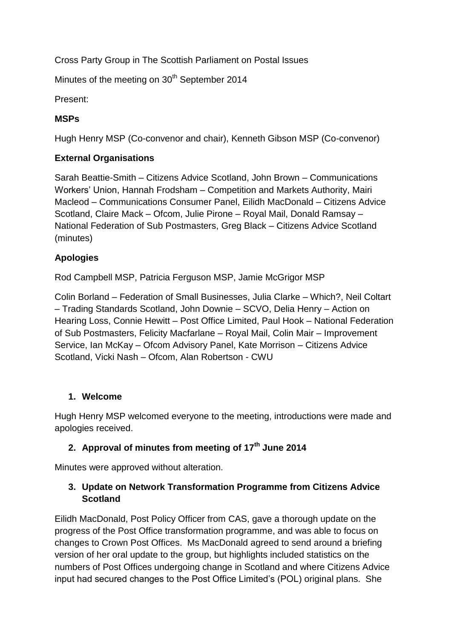Cross Party Group in The Scottish Parliament on Postal Issues

Minutes of the meeting on 30<sup>th</sup> September 2014

Present:

## **MSPs**

Hugh Henry MSP (Co-convenor and chair), Kenneth Gibson MSP (Co-convenor)

## **External Organisations**

Sarah Beattie-Smith – Citizens Advice Scotland, John Brown – Communications Workers' Union, Hannah Frodsham – Competition and Markets Authority, Mairi Macleod – Communications Consumer Panel, Eilidh MacDonald – Citizens Advice Scotland, Claire Mack – Ofcom, Julie Pirone – Royal Mail, Donald Ramsay – National Federation of Sub Postmasters, Greg Black – Citizens Advice Scotland (minutes)

## **Apologies**

Rod Campbell MSP, Patricia Ferguson MSP, Jamie McGrigor MSP

Colin Borland – Federation of Small Businesses, Julia Clarke – Which?, Neil Coltart – Trading Standards Scotland, John Downie – SCVO, Delia Henry – Action on Hearing Loss, Connie Hewitt – Post Office Limited, Paul Hook – National Federation of Sub Postmasters, Felicity Macfarlane – Royal Mail, Colin Mair – Improvement Service, Ian McKay – Ofcom Advisory Panel, Kate Morrison – Citizens Advice Scotland, Vicki Nash – Ofcom, Alan Robertson - CWU

#### **1. Welcome**

Hugh Henry MSP welcomed everyone to the meeting, introductions were made and apologies received.

# **2. Approval of minutes from meeting of 17th June 2014**

Minutes were approved without alteration.

## **3. Update on Network Transformation Programme from Citizens Advice Scotland**

Eilidh MacDonald, Post Policy Officer from CAS, gave a thorough update on the progress of the Post Office transformation programme, and was able to focus on changes to Crown Post Offices. Ms MacDonald agreed to send around a briefing version of her oral update to the group, but highlights included statistics on the numbers of Post Offices undergoing change in Scotland and where Citizens Advice input had secured changes to the Post Office Limited's (POL) original plans. She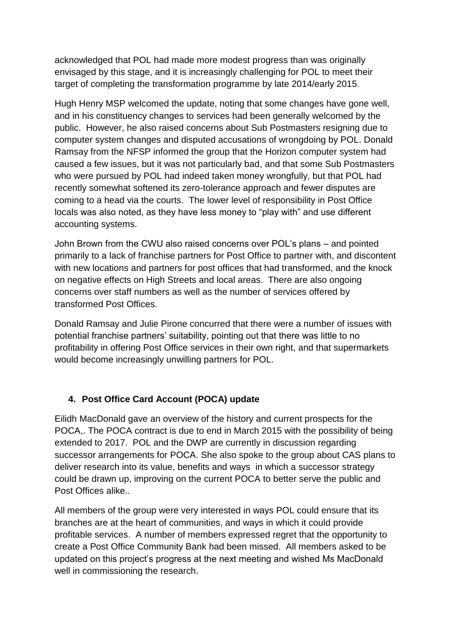acknowledged that POL had made more modest progress than was originally envisaged by this stage, and it is increasingly challenging for POL to meet their target of completing the transformation programme by late 2014/early 2015.

Hugh Henry MSP welcomed the update, noting that some changes have gone well, and in his constituency changes to services had been generally welcomed by the public. However, he also raised concerns about Sub Postmasters resigning due to computer system changes and disputed accusations of wrongdoing by POL. Donald Ramsay from the NFSP informed the group that the Horizon computer system had caused a few issues, but it was not particularly bad, and that some Sub Postmasters who were pursued by POL had indeed taken money wrongfully, but that POL had recently somewhat softened its zero-tolerance approach and fewer disputes are coming to a head via the courts. The lower level of responsibility in Post Office locals was also noted, as they have less money to "play with" and use different accounting systems.

John Brown from the CWU also raised concerns over POL's plans – and pointed primarily to a lack of franchise partners for Post Office to partner with, and discontent with new locations and partners for post offices that had transformed, and the knock on negative effects on High Streets and local areas. There are also ongoing concerns over staff numbers as well as the number of services offered by transformed Post Offices.

Donald Ramsay and Julie Pirone concurred that there were a number of issues with potential franchise partners' suitability, pointing out that there was little to no profitability in offering Post Office services in their own right, and that supermarkets would become increasingly unwilling partners for POL.

#### **4. Post Office Card Account (POCA) update**

Eilidh MacDonald gave an overview of the history and current prospects for the POCA,. The POCA contract is due to end in March 2015 with the possibility of being extended to 2017. POL and the DWP are currently in discussion regarding successor arrangements for POCA. She also spoke to the group about CAS plans to deliver research into its value, benefits and ways in which a successor strategy could be drawn up, improving on the current POCA to better serve the public and Post Offices alike..

All members of the group were very interested in ways POL could ensure that its branches are at the heart of communities, and ways in which it could provide profitable services. A number of members expressed regret that the opportunity to create a Post Office Community Bank had been missed. All members asked to be updated on this project's progress at the next meeting and wished Ms MacDonald well in commissioning the research.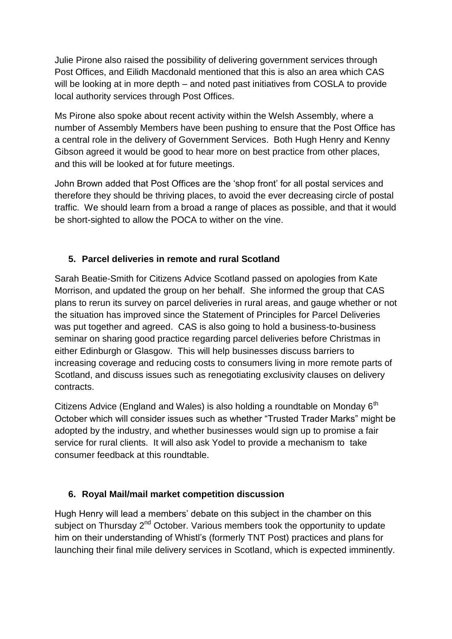Julie Pirone also raised the possibility of delivering government services through Post Offices, and Eilidh Macdonald mentioned that this is also an area which CAS will be looking at in more depth – and noted past initiatives from COSLA to provide local authority services through Post Offices.

Ms Pirone also spoke about recent activity within the Welsh Assembly, where a number of Assembly Members have been pushing to ensure that the Post Office has a central role in the delivery of Government Services. Both Hugh Henry and Kenny Gibson agreed it would be good to hear more on best practice from other places, and this will be looked at for future meetings.

John Brown added that Post Offices are the 'shop front' for all postal services and therefore they should be thriving places, to avoid the ever decreasing circle of postal traffic. We should learn from a broad a range of places as possible, and that it would be short-sighted to allow the POCA to wither on the vine.

#### **5. Parcel deliveries in remote and rural Scotland**

Sarah Beatie-Smith for Citizens Advice Scotland passed on apologies from Kate Morrison, and updated the group on her behalf. She informed the group that CAS plans to rerun its survey on parcel deliveries in rural areas, and gauge whether or not the situation has improved since the Statement of Principles for Parcel Deliveries was put together and agreed. CAS is also going to hold a business-to-business seminar on sharing good practice regarding parcel deliveries before Christmas in either Edinburgh or Glasgow. This will help businesses discuss barriers to increasing coverage and reducing costs to consumers living in more remote parts of Scotland, and discuss issues such as renegotiating exclusivity clauses on delivery contracts.

Citizens Advice (England and Wales) is also holding a roundtable on Monday 6<sup>th</sup> October which will consider issues such as whether "Trusted Trader Marks" might be adopted by the industry, and whether businesses would sign up to promise a fair service for rural clients. It will also ask Yodel to provide a mechanism to take consumer feedback at this roundtable.

#### **6. Royal Mail/mail market competition discussion**

Hugh Henry will lead a members' debate on this subject in the chamber on this subject on Thursday  $2^{nd}$  October. Various members took the opportunity to update him on their understanding of Whistl's (formerly TNT Post) practices and plans for launching their final mile delivery services in Scotland, which is expected imminently.